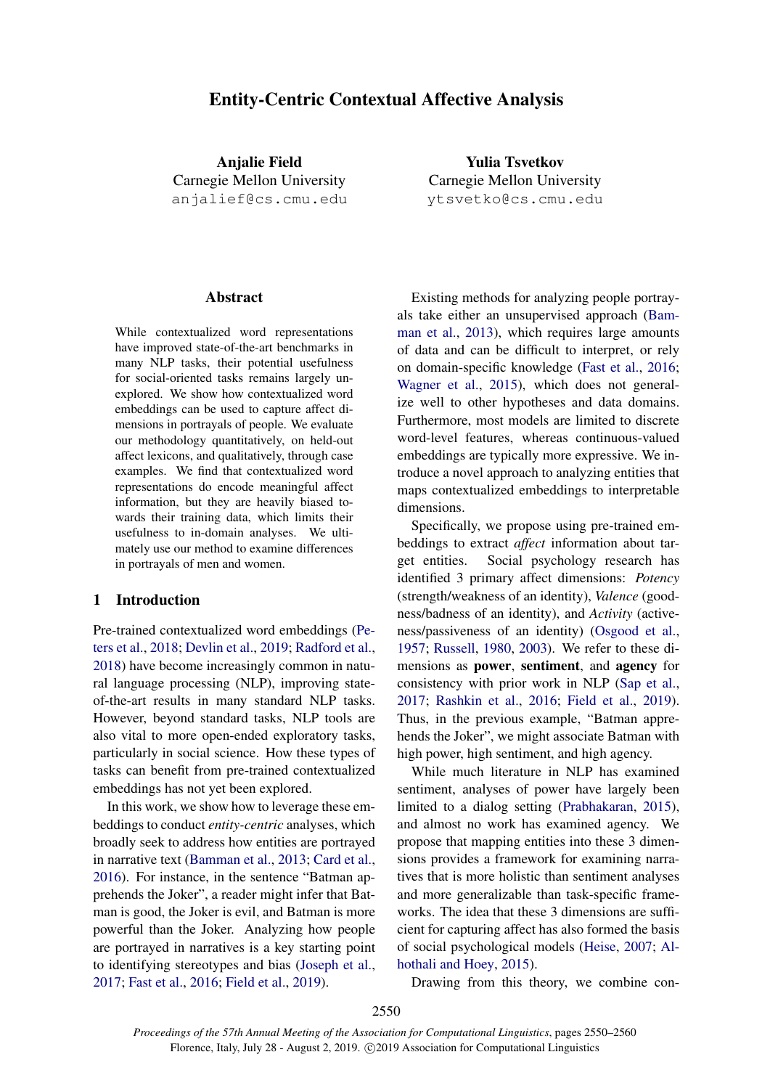# <span id="page-0-0"></span>Entity-Centric Contextual Affective Analysis

Anjalie Field Carnegie Mellon University anjalief@cs.cmu.edu

### **Abstract**

While contextualized word representations have improved state-of-the-art benchmarks in many NLP tasks, their potential usefulness for social-oriented tasks remains largely unexplored. We show how contextualized word embeddings can be used to capture affect dimensions in portrayals of people. We evaluate our methodology quantitatively, on held-out affect lexicons, and qualitatively, through case examples. We find that contextualized word representations do encode meaningful affect information, but they are heavily biased towards their training data, which limits their usefulness to in-domain analyses. We ultimately use our method to examine differences in portrayals of men and women.

## 1 Introduction

Pre-trained contextualized word embeddings [\(Pe](#page-9-0)[ters et al.,](#page-9-0) [2018;](#page-9-0) [Devlin et al.,](#page-9-1) [2019;](#page-9-1) [Radford et al.,](#page-9-2) [2018\)](#page-9-2) have become increasingly common in natural language processing (NLP), improving stateof-the-art results in many standard NLP tasks. However, beyond standard tasks, NLP tools are also vital to more open-ended exploratory tasks, particularly in social science. How these types of tasks can benefit from pre-trained contextualized embeddings has not yet been explored.

In this work, we show how to leverage these embeddings to conduct *entity-centric* analyses, which broadly seek to address how entities are portrayed in narrative text [\(Bamman et al.,](#page-9-3) [2013;](#page-9-3) [Card et al.,](#page-9-4) [2016\)](#page-9-4). For instance, in the sentence "Batman apprehends the Joker", a reader might infer that Batman is good, the Joker is evil, and Batman is more powerful than the Joker. Analyzing how people are portrayed in narratives is a key starting point to identifying stereotypes and bias [\(Joseph et al.,](#page-9-5) [2017;](#page-9-5) [Fast et al.,](#page-9-6) [2016;](#page-9-6) [Field et al.,](#page-9-7) [2019\)](#page-9-7).

Yulia Tsvetkov Carnegie Mellon University ytsvetko@cs.cmu.edu

Existing methods for analyzing people portrayals take either an unsupervised approach [\(Bam](#page-9-3)[man et al.,](#page-9-3) [2013\)](#page-9-3), which requires large amounts of data and can be difficult to interpret, or rely on domain-specific knowledge [\(Fast et al.,](#page-9-6) [2016;](#page-9-6) [Wagner et al.,](#page-10-0) [2015\)](#page-10-0), which does not generalize well to other hypotheses and data domains. Furthermore, most models are limited to discrete word-level features, whereas continuous-valued embeddings are typically more expressive. We introduce a novel approach to analyzing entities that maps contextualized embeddings to interpretable dimensions.

Specifically, we propose using pre-trained embeddings to extract *affect* information about target entities. Social psychology research has identified 3 primary affect dimensions: *Potency* (strength/weakness of an identity), *Valence* (goodness/badness of an identity), and *Activity* (activeness/passiveness of an identity) [\(Osgood et al.,](#page-9-8) [1957;](#page-9-8) [Russell,](#page-9-9) [1980,](#page-9-9) [2003\)](#page-9-10). We refer to these dimensions as power, sentiment, and agency for consistency with prior work in NLP [\(Sap et al.,](#page-9-11) [2017;](#page-9-11) [Rashkin et al.,](#page-9-12) [2016;](#page-9-12) [Field et al.,](#page-9-7) [2019\)](#page-9-7). Thus, in the previous example, "Batman apprehends the Joker", we might associate Batman with high power, high sentiment, and high agency.

While much literature in NLP has examined sentiment, analyses of power have largely been limited to a dialog setting [\(Prabhakaran,](#page-9-13) [2015\)](#page-9-13), and almost no work has examined agency. We propose that mapping entities into these 3 dimensions provides a framework for examining narratives that is more holistic than sentiment analyses and more generalizable than task-specific frameworks. The idea that these 3 dimensions are sufficient for capturing affect has also formed the basis of social psychological models [\(Heise,](#page-9-14) [2007;](#page-9-14) [Al](#page-9-15)[hothali and Hoey,](#page-9-15) [2015\)](#page-9-15).

Drawing from this theory, we combine con-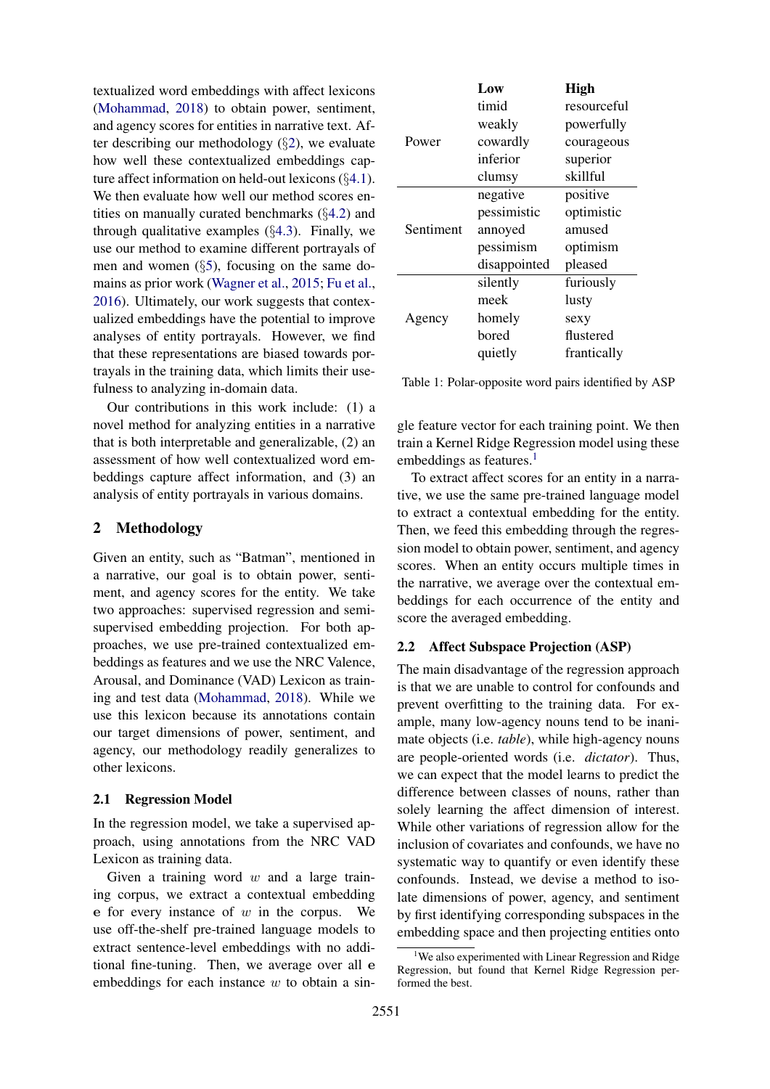textualized word embeddings with affect lexicons [\(Mohammad,](#page-9-16) [2018\)](#page-9-16) to obtain power, sentiment, and agency scores for entities in narrative text. After describing our methodology  $(\S2)$  $(\S2)$ , we evaluate how well these contextualized embeddings capture affect information on held-out lexicons (§[4.1\)](#page-2-0). We then evaluate how well our method scores entities on manually curated benchmarks (§[4.2\)](#page-3-0) and through qualitative examples  $(\S4.3)$  $(\S4.3)$ . Finally, we use our method to examine different portrayals of men and women  $(\S 5)$  $(\S 5)$ , focusing on the same domains as prior work [\(Wagner et al.,](#page-10-0) [2015;](#page-10-0) [Fu et al.,](#page-9-17) [2016\)](#page-9-17). Ultimately, our work suggests that contexualized embeddings have the potential to improve analyses of entity portrayals. However, we find that these representations are biased towards portrayals in the training data, which limits their usefulness to analyzing in-domain data.

Our contributions in this work include: (1) a novel method for analyzing entities in a narrative that is both interpretable and generalizable, (2) an assessment of how well contextualized word embeddings capture affect information, and (3) an analysis of entity portrayals in various domains.

## <span id="page-1-0"></span>2 Methodology

Given an entity, such as "Batman", mentioned in a narrative, our goal is to obtain power, sentiment, and agency scores for the entity. We take two approaches: supervised regression and semisupervised embedding projection. For both approaches, we use pre-trained contextualized embeddings as features and we use the NRC Valence, Arousal, and Dominance (VAD) Lexicon as training and test data [\(Mohammad,](#page-9-16) [2018\)](#page-9-16). While we use this lexicon because its annotations contain our target dimensions of power, sentiment, and agency, our methodology readily generalizes to other lexicons.

#### 2.1 Regression Model

In the regression model, we take a supervised approach, using annotations from the NRC VAD Lexicon as training data.

Given a training word  $w$  and a large training corpus, we extract a contextual embedding e for every instance of  $w$  in the corpus. We use off-the-shelf pre-trained language models to extract sentence-level embeddings with no additional fine-tuning. Then, we average over all e embeddings for each instance  $w$  to obtain a sin-

<span id="page-1-2"></span>

|           | Low          | <b>High</b> |
|-----------|--------------|-------------|
|           | timid        | resourceful |
|           | weakly       | powerfully  |
| Power     | cowardly     | courageous  |
|           | inferior     | superior    |
|           | clumsy       | skillful    |
|           | negative     | positive    |
|           | pessimistic  | optimistic  |
| Sentiment | annoyed      | amused      |
|           | pessimism    | optimism    |
|           | disappointed | pleased     |
|           | silently     | furiously   |
|           | meek         | lusty       |
| Agency    | homely       | sexy        |
|           | bored        | flustered   |
|           | quietly      | frantically |

Table 1: Polar-opposite word pairs identified by ASP

gle feature vector for each training point. We then train a Kernel Ridge Regression model using these embeddings as features. $<sup>1</sup>$  $<sup>1</sup>$  $<sup>1</sup>$ </sup>

To extract affect scores for an entity in a narrative, we use the same pre-trained language model to extract a contextual embedding for the entity. Then, we feed this embedding through the regression model to obtain power, sentiment, and agency scores. When an entity occurs multiple times in the narrative, we average over the contextual embeddings for each occurrence of the entity and score the averaged embedding.

## 2.2 Affect Subspace Projection (ASP)

The main disadvantage of the regression approach is that we are unable to control for confounds and prevent overfitting to the training data. For example, many low-agency nouns tend to be inanimate objects (i.e. *table*), while high-agency nouns are people-oriented words (i.e. *dictator*). Thus, we can expect that the model learns to predict the difference between classes of nouns, rather than solely learning the affect dimension of interest. While other variations of regression allow for the inclusion of covariates and confounds, we have no systematic way to quantify or even identify these confounds. Instead, we devise a method to isolate dimensions of power, agency, and sentiment by first identifying corresponding subspaces in the embedding space and then projecting entities onto

<span id="page-1-1"></span><sup>&</sup>lt;sup>1</sup>We also experimented with Linear Regression and Ridge Regression, but found that Kernel Ridge Regression performed the best.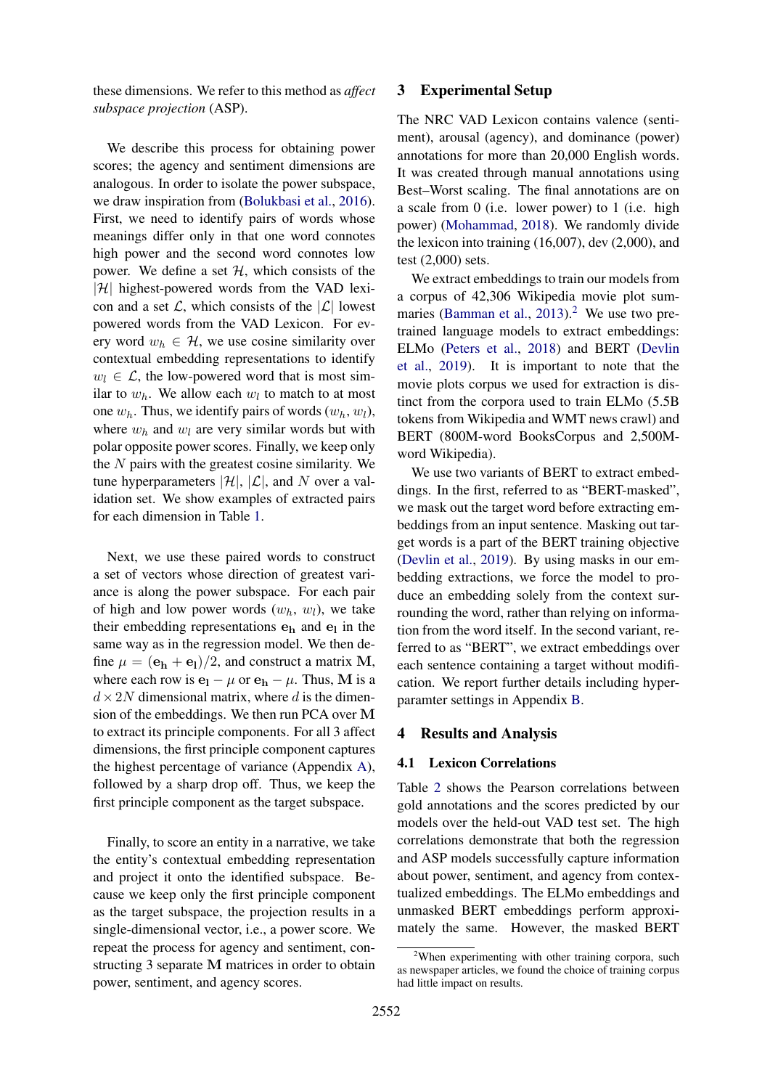these dimensions. We refer to this method as *affect subspace projection* (ASP).

We describe this process for obtaining power scores; the agency and sentiment dimensions are analogous. In order to isolate the power subspace, we draw inspiration from [\(Bolukbasi et al.,](#page-9-18) [2016\)](#page-9-18). First, we need to identify pairs of words whose meanings differ only in that one word connotes high power and the second word connotes low power. We define a set  $H$ , which consists of the  $|\mathcal{H}|$  highest-powered words from the VAD lexicon and a set  $\mathcal{L}$ , which consists of the  $|\mathcal{L}|$  lowest powered words from the VAD Lexicon. For every word  $w_h \in \mathcal{H}$ , we use cosine similarity over contextual embedding representations to identify  $w_l \in \mathcal{L}$ , the low-powered word that is most similar to  $w_h$ . We allow each  $w_l$  to match to at most one  $w_h$ . Thus, we identify pairs of words  $(w_h, w_l)$ , where  $w_h$  and  $w_l$  are very similar words but with polar opposite power scores. Finally, we keep only the  $N$  pairs with the greatest cosine similarity. We tune hyperparameters  $|\mathcal{H}|$ ,  $|\mathcal{L}|$ , and N over a validation set. We show examples of extracted pairs for each dimension in Table [1.](#page-1-2)

Next, we use these paired words to construct a set of vectors whose direction of greatest variance is along the power subspace. For each pair of high and low power words  $(w_h, w_l)$ , we take their embedding representations  $e_h$  and  $e_l$  in the same way as in the regression model. We then define  $\mu = (\mathbf{e_h} + \mathbf{e_l})/2$ , and construct a matrix M, where each row is  $\mathbf{e}_1 - \mu$  or  $\mathbf{e}_h - \mu$ . Thus, M is a  $d \times 2N$  dimensional matrix, where d is the dimension of the embeddings. We then run PCA over M to extract its principle components. For all 3 affect dimensions, the first principle component captures the highest percentage of variance (Appendix [A\)](#page-10-1), followed by a sharp drop off. Thus, we keep the first principle component as the target subspace.

Finally, to score an entity in a narrative, we take the entity's contextual embedding representation and project it onto the identified subspace. Because we keep only the first principle component as the target subspace, the projection results in a single-dimensional vector, i.e., a power score. We repeat the process for agency and sentiment, constructing 3 separate M matrices in order to obtain power, sentiment, and agency scores.

## 3 Experimental Setup

The NRC VAD Lexicon contains valence (sentiment), arousal (agency), and dominance (power) annotations for more than 20,000 English words. It was created through manual annotations using Best–Worst scaling. The final annotations are on a scale from 0 (i.e. lower power) to 1 (i.e. high power) [\(Mohammad,](#page-9-16) [2018\)](#page-9-16). We randomly divide the lexicon into training (16,007), dev (2,000), and test (2,000) sets.

We extract embeddings to train our models from a corpus of 42,306 Wikipedia movie plot sum-maries [\(Bamman et al.,](#page-9-3)  $2013$  $2013$ ).<sup>2</sup> We use two pretrained language models to extract embeddings: ELMo [\(Peters et al.,](#page-9-0) [2018\)](#page-9-0) and BERT [\(Devlin](#page-9-1) [et al.,](#page-9-1) [2019\)](#page-9-1). It is important to note that the movie plots corpus we used for extraction is distinct from the corpora used to train ELMo (5.5B tokens from Wikipedia and WMT news crawl) and BERT (800M-word BooksCorpus and 2,500Mword Wikipedia).

We use two variants of BERT to extract embeddings. In the first, referred to as "BERT-masked", we mask out the target word before extracting embeddings from an input sentence. Masking out target words is a part of the BERT training objective [\(Devlin et al.,](#page-9-1) [2019\)](#page-9-1). By using masks in our embedding extractions, we force the model to produce an embedding solely from the context surrounding the word, rather than relying on information from the word itself. In the second variant, referred to as "BERT", we extract embeddings over each sentence containing a target without modification. We report further details including hyperparamter settings in Appendix [B.](#page-10-2)

## 4 Results and Analysis

#### <span id="page-2-0"></span>4.1 Lexicon Correlations

Table [2](#page-3-1) shows the Pearson correlations between gold annotations and the scores predicted by our models over the held-out VAD test set. The high correlations demonstrate that both the regression and ASP models successfully capture information about power, sentiment, and agency from contextualized embeddings. The ELMo embeddings and unmasked BERT embeddings perform approximately the same. However, the masked BERT

<span id="page-2-1"></span> $2$ When experimenting with other training corpora, such as newspaper articles, we found the choice of training corpus had little impact on results.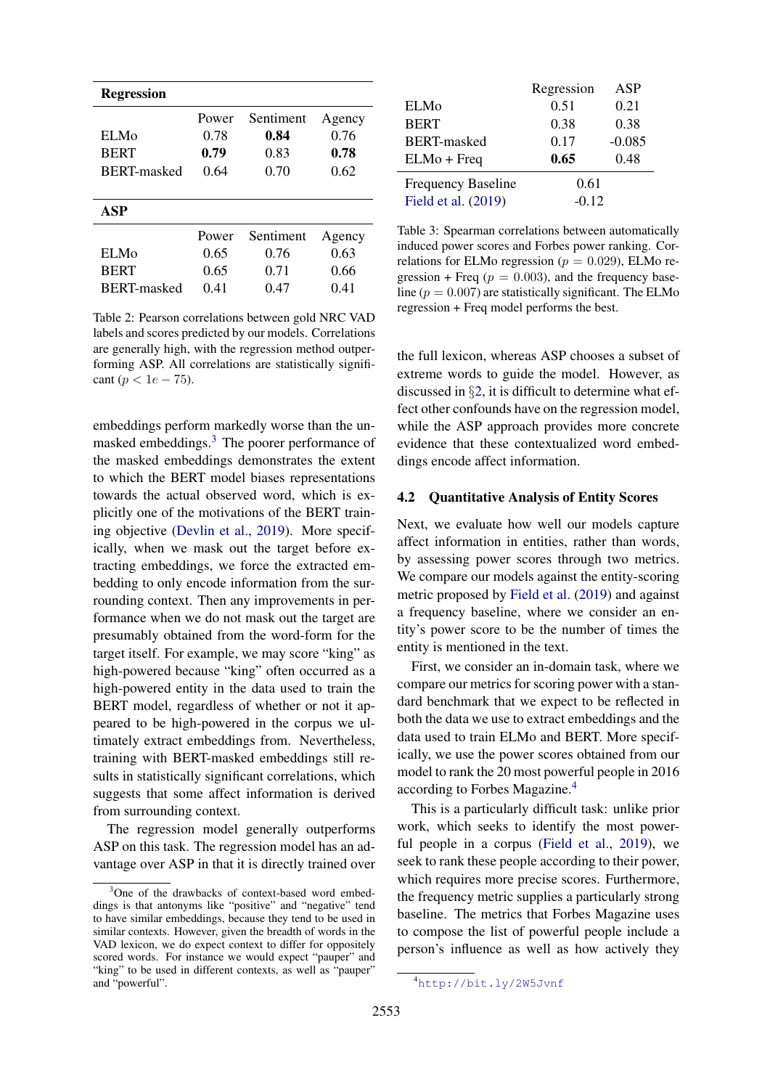<span id="page-3-1"></span>

| <b>Regression</b>  |       |           |        |
|--------------------|-------|-----------|--------|
|                    | Power | Sentiment | Agency |
| EL Mo              | 0.78  | 0.84      | 0.76   |
| <b>BERT</b>        | 0.79  | 0.83      | 0.78   |
| <b>BERT-masked</b> | 0.64  | 0.70      | 0.62   |
|                    |       |           |        |
| ASP                |       |           |        |
|                    | Power | Sentiment | Agency |
| EL Mo              | 0.65  | 0.76      | 0.63   |
| <b>BERT</b>        | 0.65  | 0.71      | 0.66   |
| BERT-masked        | 0.41  | 0.47      | 0.41   |

Table 2: Pearson correlations between gold NRC VAD labels and scores predicted by our models. Correlations are generally high, with the regression method outperforming ASP. All correlations are statistically significant ( $p < 1e - 75$ ).

embeddings perform markedly worse than the unmasked embeddings.[3](#page-3-2) The poorer performance of the masked embeddings demonstrates the extent to which the BERT model biases representations towards the actual observed word, which is explicitly one of the motivations of the BERT training objective [\(Devlin et al.,](#page-9-1) [2019\)](#page-9-1). More specifically, when we mask out the target before extracting embeddings, we force the extracted embedding to only encode information from the surrounding context. Then any improvements in performance when we do not mask out the target are presumably obtained from the word-form for the target itself. For example, we may score "king" as high-powered because "king" often occurred as a high-powered entity in the data used to train the BERT model, regardless of whether or not it appeared to be high-powered in the corpus we ultimately extract embeddings from. Nevertheless, training with BERT-masked embeddings still results in statistically significant correlations, which suggests that some affect information is derived from surrounding context.

The regression model generally outperforms ASP on this task. The regression model has an advantage over ASP in that it is directly trained over

<span id="page-3-4"></span>

|                           | Regression | ASP      |
|---------------------------|------------|----------|
| <b>ELMo</b>               | 0.51       | 0.21     |
| <b>BERT</b>               | 0.38       | 0.38     |
| <b>BERT-masked</b>        | 0.17       | $-0.085$ |
| $ELMo + Freq$             | 0.65       | 0.48     |
| <b>Frequency Baseline</b> | 0.61       |          |
| Field et al. (2019)       | $-0.12$    |          |

Table 3: Spearman correlations between automatically induced power scores and Forbes power ranking. Correlations for ELMo regression ( $p = 0.029$ ), ELMo regression + Freq ( $p = 0.003$ ), and the frequency baseline ( $p = 0.007$ ) are statistically significant. The ELMo regression + Freq model performs the best.

the full lexicon, whereas ASP chooses a subset of extreme words to guide the model. However, as discussed in  $\S2$ , it is difficult to determine what effect other confounds have on the regression model, while the ASP approach provides more concrete evidence that these contextualized word embeddings encode affect information.

#### <span id="page-3-0"></span>4.2 Quantitative Analysis of Entity Scores

Next, we evaluate how well our models capture affect information in entities, rather than words, by assessing power scores through two metrics. We compare our models against the entity-scoring metric proposed by [Field et al.](#page-9-7) [\(2019\)](#page-9-7) and against a frequency baseline, where we consider an entity's power score to be the number of times the entity is mentioned in the text.

First, we consider an in-domain task, where we compare our metrics for scoring power with a standard benchmark that we expect to be reflected in both the data we use to extract embeddings and the data used to train ELMo and BERT. More specifically, we use the power scores obtained from our model to rank the 20 most powerful people in 2016 according to Forbes Magazine.[4](#page-3-3)

This is a particularly difficult task: unlike prior work, which seeks to identify the most powerful people in a corpus [\(Field et al.,](#page-9-7) [2019\)](#page-9-7), we seek to rank these people according to their power, which requires more precise scores. Furthermore, the frequency metric supplies a particularly strong baseline. The metrics that Forbes Magazine uses to compose the list of powerful people include a person's influence as well as how actively they

<span id="page-3-2"></span><sup>&</sup>lt;sup>3</sup>One of the drawbacks of context-based word embeddings is that antonyms like "positive" and "negative" tend to have similar embeddings, because they tend to be used in similar contexts. However, given the breadth of words in the VAD lexicon, we do expect context to differ for oppositely scored words. For instance we would expect "pauper" and "king" to be used in different contexts, as well as "pauper" and "powerful".

<span id="page-3-3"></span><sup>4</sup><http://bit.ly/2W5Jvnf>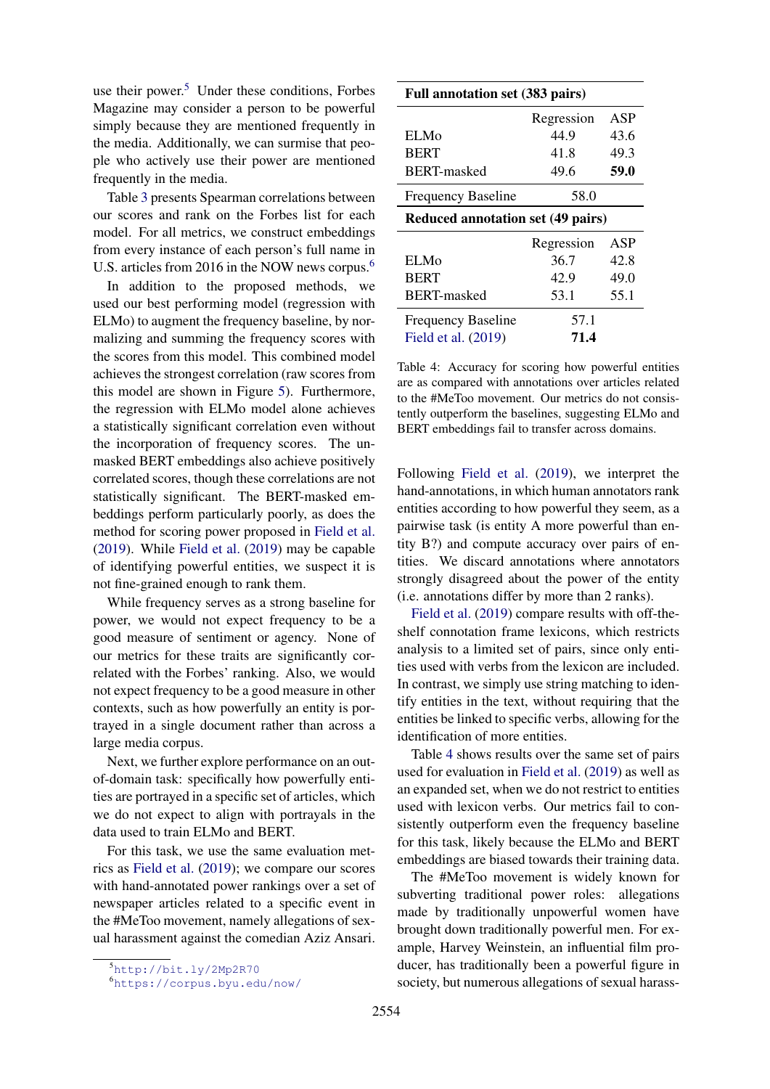use their power. $5$  Under these conditions, Forbes Magazine may consider a person to be powerful simply because they are mentioned frequently in the media. Additionally, we can surmise that people who actively use their power are mentioned frequently in the media.

Table [3](#page-3-4) presents Spearman correlations between our scores and rank on the Forbes list for each model. For all metrics, we construct embeddings from every instance of each person's full name in U.S. articles from 201[6](#page-4-1) in the NOW news corpus.<sup>6</sup>

In addition to the proposed methods, we used our best performing model (regression with ELMo) to augment the frequency baseline, by normalizing and summing the frequency scores with the scores from this model. This combined model achieves the strongest correlation (raw scores from this model are shown in Figure [5\)](#page-7-0). Furthermore, the regression with ELMo model alone achieves a statistically significant correlation even without the incorporation of frequency scores. The unmasked BERT embeddings also achieve positively correlated scores, though these correlations are not statistically significant. The BERT-masked embeddings perform particularly poorly, as does the method for scoring power proposed in [Field et al.](#page-9-7) [\(2019\)](#page-9-7). While [Field et al.](#page-9-7) [\(2019\)](#page-9-7) may be capable of identifying powerful entities, we suspect it is not fine-grained enough to rank them.

While frequency serves as a strong baseline for power, we would not expect frequency to be a good measure of sentiment or agency. None of our metrics for these traits are significantly correlated with the Forbes' ranking. Also, we would not expect frequency to be a good measure in other contexts, such as how powerfully an entity is portrayed in a single document rather than across a large media corpus.

Next, we further explore performance on an outof-domain task: specifically how powerfully entities are portrayed in a specific set of articles, which we do not expect to align with portrayals in the data used to train ELMo and BERT.

For this task, we use the same evaluation metrics as [Field et al.](#page-9-7) [\(2019\)](#page-9-7); we compare our scores with hand-annotated power rankings over a set of newspaper articles related to a specific event in the #MeToo movement, namely allegations of sexual harassment against the comedian Aziz Ansari.

<span id="page-4-2"></span>

| <b>Full annotation set (383 pairs)</b>   |            |      |  |  |
|------------------------------------------|------------|------|--|--|
|                                          | Regression | ASP  |  |  |
| <b>ELMo</b>                              | 44.9       | 43.6 |  |  |
| <b>BERT</b>                              | 41.8       | 49.3 |  |  |
| <b>BERT-masked</b>                       | 49.6       | 59.0 |  |  |
| <b>Frequency Baseline</b>                | 58.0       |      |  |  |
| <b>Reduced annotation set (49 pairs)</b> |            |      |  |  |
|                                          | Regression | ASP  |  |  |
| <b>ELMo</b>                              | 36.7       | 42.8 |  |  |
| <b>BERT</b>                              | 42.9       | 49.0 |  |  |
| <b>BERT-masked</b>                       | 53.1       | 55.1 |  |  |
| <b>Frequency Baseline</b>                | 57.1       |      |  |  |
| Field et al. (2019)                      |            |      |  |  |

Table 4: Accuracy for scoring how powerful entities are as compared with annotations over articles related to the #MeToo movement. Our metrics do not consistently outperform the baselines, suggesting ELMo and BERT embeddings fail to transfer across domains.

Following [Field et al.](#page-9-7) [\(2019\)](#page-9-7), we interpret the hand-annotations, in which human annotators rank entities according to how powerful they seem, as a pairwise task (is entity A more powerful than entity B?) and compute accuracy over pairs of entities. We discard annotations where annotators strongly disagreed about the power of the entity (i.e. annotations differ by more than 2 ranks).

[Field et al.](#page-9-7) [\(2019\)](#page-9-7) compare results with off-theshelf connotation frame lexicons, which restricts analysis to a limited set of pairs, since only entities used with verbs from the lexicon are included. In contrast, we simply use string matching to identify entities in the text, without requiring that the entities be linked to specific verbs, allowing for the identification of more entities.

Table [4](#page-4-2) shows results over the same set of pairs used for evaluation in [Field et al.](#page-9-7) [\(2019\)](#page-9-7) as well as an expanded set, when we do not restrict to entities used with lexicon verbs. Our metrics fail to consistently outperform even the frequency baseline for this task, likely because the ELMo and BERT embeddings are biased towards their training data.

The #MeToo movement is widely known for subverting traditional power roles: allegations made by traditionally unpowerful women have brought down traditionally powerful men. For example, Harvey Weinstein, an influential film producer, has traditionally been a powerful figure in society, but numerous allegations of sexual harass-

<span id="page-4-0"></span><sup>5</sup><http://bit.ly/2Mp2R70>

<span id="page-4-1"></span><sup>6</sup><https://corpus.byu.edu/now/>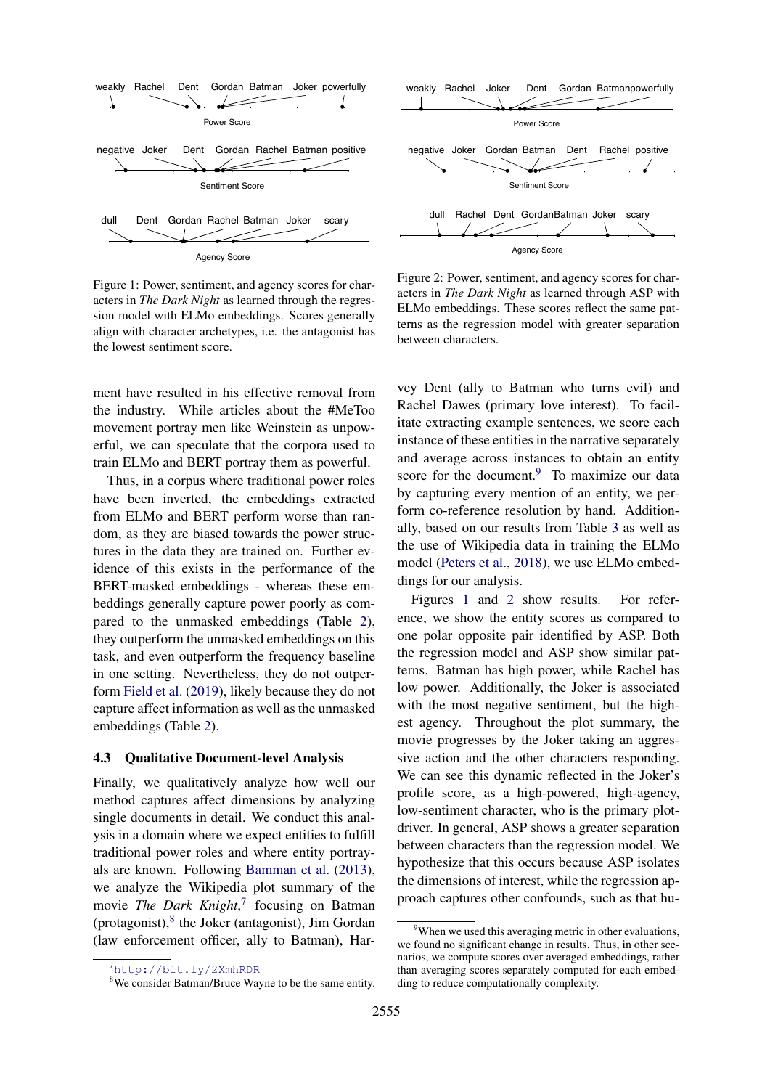<span id="page-5-4"></span>

Figure 1: Power, sentiment, and agency scores for characters in *The Dark Night* as learned through the regression model with ELMo embeddings. Scores generally align with character archetypes, i.e. the antagonist has the lowest sentiment score.

ment have resulted in his effective removal from the industry. While articles about the #MeToo movement portray men like Weinstein as unpowerful, we can speculate that the corpora used to train ELMo and BERT portray them as powerful.

Thus, in a corpus where traditional power roles have been inverted, the embeddings extracted from ELMo and BERT perform worse than random, as they are biased towards the power structures in the data they are trained on. Further evidence of this exists in the performance of the BERT-masked embeddings - whereas these embeddings generally capture power poorly as compared to the unmasked embeddings (Table [2\)](#page-3-1), they outperform the unmasked embeddings on this task, and even outperform the frequency baseline in one setting. Nevertheless, they do not outperform [Field et al.](#page-9-7) [\(2019\)](#page-9-7), likely because they do not capture affect information as well as the unmasked embeddings (Table [2\)](#page-3-1).

#### <span id="page-5-0"></span>4.3 Qualitative Document-level Analysis

Finally, we qualitatively analyze how well our method captures affect dimensions by analyzing single documents in detail. We conduct this analysis in a domain where we expect entities to fulfill traditional power roles and where entity portrayals are known. Following [Bamman et al.](#page-9-3) [\(2013\)](#page-9-3), we analyze the Wikipedia plot summary of the movie *The Dark Knight*, [7](#page-5-1) focusing on Batman (protagonist),<sup>[8](#page-5-2)</sup> the Joker (antagonist), Jim Gordan (law enforcement officer, ally to Batman), Har-

<span id="page-5-5"></span>Figure 2: Power, sentiment, and agency scores for characters in *The Dark Night* as learned through ASP with ELMo embeddings. These scores reflect the same patterns as the regression model with greater separation between characters.

vey Dent (ally to Batman who turns evil) and Rachel Dawes (primary love interest). To facilitate extracting example sentences, we score each instance of these entities in the narrative separately and average across instances to obtain an entity score for the document.<sup>[9](#page-5-3)</sup> To maximize our data by capturing every mention of an entity, we perform co-reference resolution by hand. Additionally, based on our results from Table [3](#page-3-4) as well as the use of Wikipedia data in training the ELMo model [\(Peters et al.,](#page-9-0) [2018\)](#page-9-0), we use ELMo embeddings for our analysis.

Figures [1](#page-5-4) and [2](#page-5-5) show results. For reference, we show the entity scores as compared to one polar opposite pair identified by ASP. Both the regression model and ASP show similar patterns. Batman has high power, while Rachel has low power. Additionally, the Joker is associated with the most negative sentiment, but the highest agency. Throughout the plot summary, the movie progresses by the Joker taking an aggressive action and the other characters responding. We can see this dynamic reflected in the Joker's profile score, as a high-powered, high-agency, low-sentiment character, who is the primary plotdriver. In general, ASP shows a greater separation between characters than the regression model. We hypothesize that this occurs because ASP isolates the dimensions of interest, while the regression approach captures other confounds, such as that hu-

<span id="page-5-1"></span><sup>7</sup><http://bit.ly/2XmhRDR>

<span id="page-5-2"></span><sup>&</sup>lt;sup>8</sup>We consider Batman/Bruce Wayne to be the same entity.

<span id="page-5-3"></span><sup>&</sup>lt;sup>9</sup>When we used this averaging metric in other evaluations, we found no significant change in results. Thus, in other scenarios, we compute scores over averaged embeddings, rather than averaging scores separately computed for each embedding to reduce computationally complexity.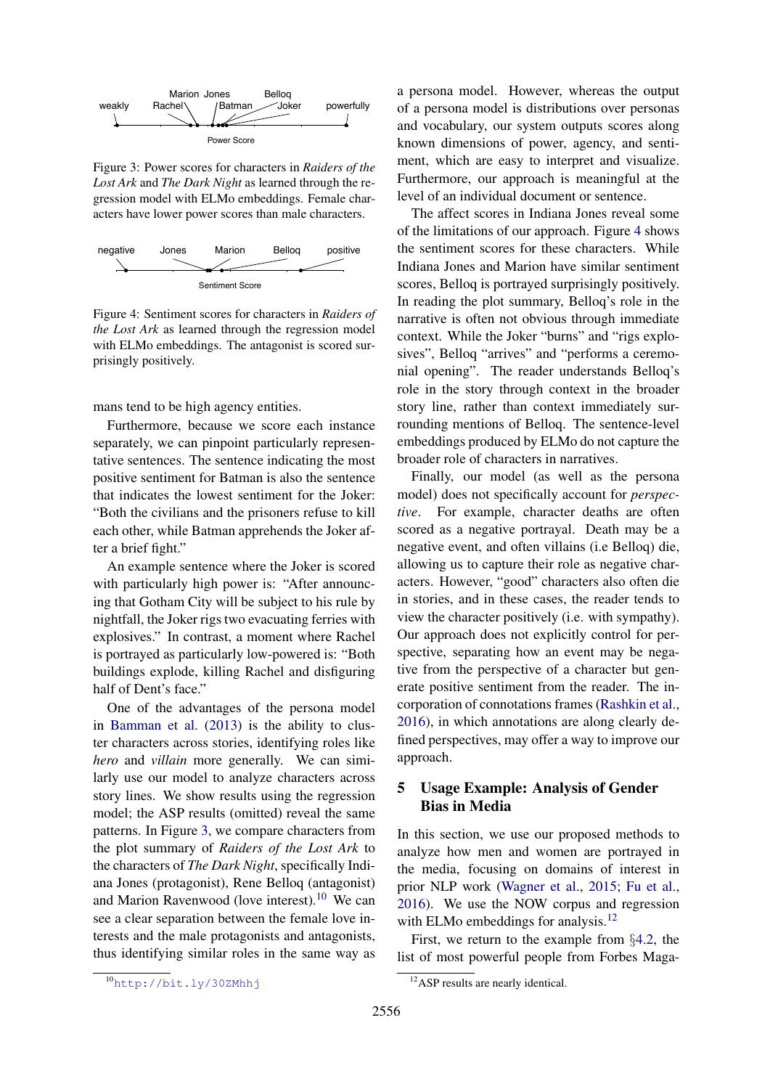<span id="page-6-1"></span>

Figure 3: Power scores for characters in *Raiders of the Lost Ark* and *The Dark Night* as learned through the regression model with ELMo embeddings. Female characters have lower power scores than male characters.

<span id="page-6-3"></span>

Figure 4: Sentiment scores for characters in *Raiders of the Lost Ark* as learned through the regression model with ELMo embeddings. The antagonist is scored surprisingly positively.

mans tend to be high agency entities.

Furthermore, because we score each instance separately, we can pinpoint particularly representative sentences. The sentence indicating the most positive sentiment for Batman is also the sentence that indicates the lowest sentiment for the Joker: "Both the civilians and the prisoners refuse to kill each other, while Batman apprehends the Joker after a brief fight."

An example sentence where the Joker is scored with particularly high power is: "After announcing that Gotham City will be subject to his rule by nightfall, the Joker rigs two evacuating ferries with explosives." In contrast, a moment where Rachel is portrayed as particularly low-powered is: "Both buildings explode, killing Rachel and disfiguring half of Dent's face."

One of the advantages of the persona model in [Bamman et al.](#page-9-3) [\(2013\)](#page-9-3) is the ability to cluster characters across stories, identifying roles like *hero* and *villain* more generally. We can similarly use our model to analyze characters across story lines. We show results using the regression model; the ASP results (omitted) reveal the same patterns. In Figure [3,](#page-6-1) we compare characters from the plot summary of *Raiders of the Lost Ark* to the characters of *The Dark Night*, specifically Indiana Jones (protagonist), Rene Belloq (antagonist) and Marion Ravenwood (love interest).<sup>[10](#page-6-2)</sup> We can see a clear separation between the female love interests and the male protagonists and antagonists, thus identifying similar roles in the same way as a persona model. However, whereas the output of a persona model is distributions over personas and vocabulary, our system outputs scores along known dimensions of power, agency, and sentiment, which are easy to interpret and visualize. Furthermore, our approach is meaningful at the level of an individual document or sentence.

The affect scores in Indiana Jones reveal some of the limitations of our approach. Figure [4](#page-6-3) shows the sentiment scores for these characters. While Indiana Jones and Marion have similar sentiment scores, Belloq is portrayed surprisingly positively. In reading the plot summary, Belloq's role in the narrative is often not obvious through immediate context. While the Joker "burns" and "rigs explosives", Belloq "arrives" and "performs a ceremonial opening". The reader understands Belloq's role in the story through context in the broader story line, rather than context immediately surrounding mentions of Belloq. The sentence-level embeddings produced by ELMo do not capture the broader role of characters in narratives.

Finally, our model (as well as the persona model) does not specifically account for *perspective*. For example, character deaths are often scored as a negative portrayal. Death may be a negative event, and often villains (i.e Belloq) die, allowing us to capture their role as negative characters. However, "good" characters also often die in stories, and in these cases, the reader tends to view the character positively (i.e. with sympathy). Our approach does not explicitly control for perspective, separating how an event may be negative from the perspective of a character but generate positive sentiment from the reader. The incorporation of connotations frames [\(Rashkin et al.,](#page-9-12) [2016\)](#page-9-12), in which annotations are along clearly defined perspectives, may offer a way to improve our approach.

## <span id="page-6-0"></span>5 Usage Example: Analysis of Gender Bias in Media

In this section, we use our proposed methods to analyze how men and women are portrayed in the media, focusing on domains of interest in prior NLP work [\(Wagner et al.,](#page-10-0) [2015;](#page-10-0) [Fu et al.,](#page-9-17) [2016\)](#page-9-17). We use the NOW corpus and regression with ELMo embeddings for analysis.<sup>[12](#page-6-4)</sup>

First, we return to the example from §[4.2,](#page-3-0) the list of most powerful people from Forbes Maga-

<span id="page-6-2"></span><sup>10</sup><http://bit.ly/30ZMhhj>

<span id="page-6-4"></span><sup>&</sup>lt;sup>12</sup>ASP results are nearly identical.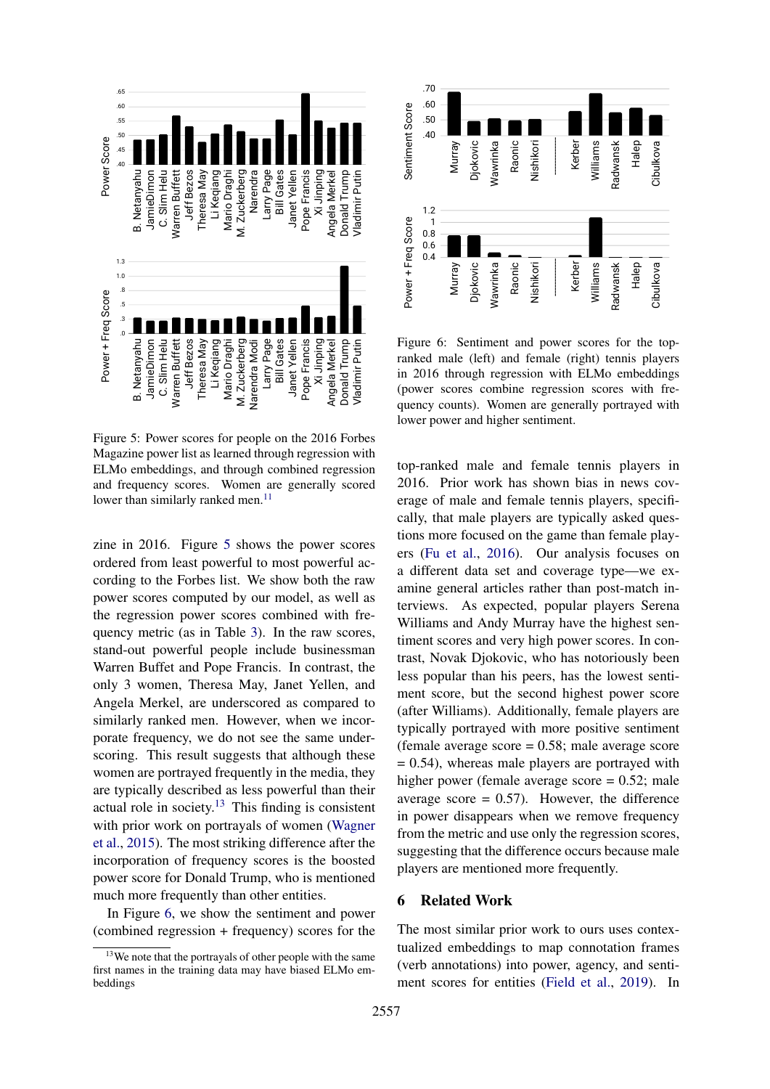<span id="page-7-0"></span>

Figure 5: Power scores for people on the 2016 Forbes Magazine power list as learned through regression with ELMo embeddings, and through combined regression and frequency scores. Women are generally scored lower than similarly ranked men.<sup>[11](#page-0-0)</sup>

zine in 2016. Figure [5](#page-7-0) shows the power scores ordered from least powerful to most powerful according to the Forbes list. We show both the raw power scores computed by our model, as well as the regression power scores combined with frequency metric (as in Table [3\)](#page-3-4). In the raw scores, stand-out powerful people include businessman Warren Buffet and Pope Francis. In contrast, the only 3 women, Theresa May, Janet Yellen, and Angela Merkel, are underscored as compared to similarly ranked men. However, when we incorporate frequency, we do not see the same underscoring. This result suggests that although these women are portrayed frequently in the media, they are typically described as less powerful than their actual role in society. $13$  This finding is consistent with prior work on portrayals of women [\(Wagner](#page-10-0) [et al.,](#page-10-0) [2015\)](#page-10-0). The most striking difference after the incorporation of frequency scores is the boosted power score for Donald Trump, who is mentioned much more frequently than other entities.

In Figure [6,](#page-7-2) we show the sentiment and power (combined regression + frequency) scores for the

<span id="page-7-2"></span>

Figure 6: Sentiment and power scores for the topranked male (left) and female (right) tennis players in 2016 through regression with ELMo embeddings (power scores combine regression scores with frequency counts). Women are generally portrayed with lower power and higher sentiment.

top-ranked male and female tennis players in 2016. Prior work has shown bias in news coverage of male and female tennis players, specifically, that male players are typically asked questions more focused on the game than female players [\(Fu et al.,](#page-9-17) [2016\)](#page-9-17). Our analysis focuses on a different data set and coverage type—we examine general articles rather than post-match interviews. As expected, popular players Serena Williams and Andy Murray have the highest sentiment scores and very high power scores. In contrast, Novak Djokovic, who has notoriously been less popular than his peers, has the lowest sentiment score, but the second highest power score (after Williams). Additionally, female players are typically portrayed with more positive sentiment (female average score  $= 0.58$ ; male average score  $= 0.54$ ), whereas male players are portrayed with higher power (female average score  $= 0.52$ ; male average score  $= 0.57$ ). However, the difference in power disappears when we remove frequency from the metric and use only the regression scores, suggesting that the difference occurs because male players are mentioned more frequently.

## 6 Related Work

The most similar prior work to ours uses contextualized embeddings to map connotation frames (verb annotations) into power, agency, and sentiment scores for entities [\(Field et al.,](#page-9-7) [2019\)](#page-9-7). In

<span id="page-7-1"></span><sup>&</sup>lt;sup>13</sup>We note that the portrayals of other people with the same first names in the training data may have biased ELMo embeddings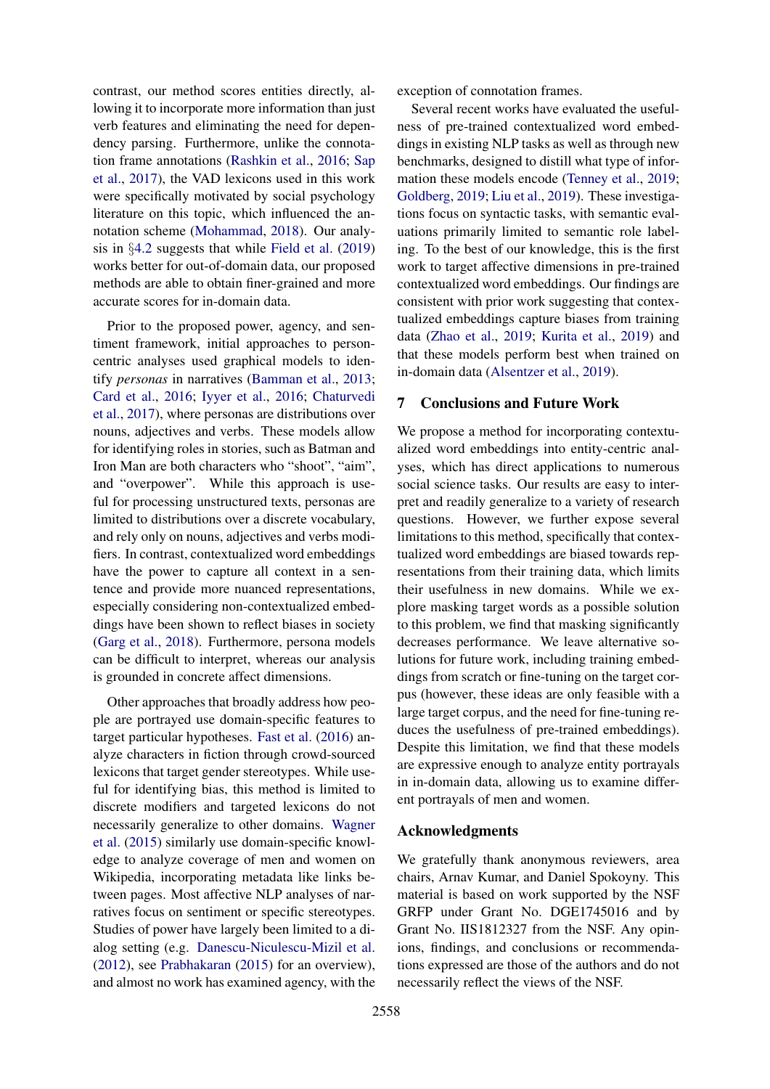contrast, our method scores entities directly, allowing it to incorporate more information than just verb features and eliminating the need for dependency parsing. Furthermore, unlike the connotation frame annotations [\(Rashkin et al.,](#page-9-12) [2016;](#page-9-12) [Sap](#page-9-11) [et al.,](#page-9-11) [2017\)](#page-9-11), the VAD lexicons used in this work were specifically motivated by social psychology literature on this topic, which influenced the annotation scheme [\(Mohammad,](#page-9-16) [2018\)](#page-9-16). Our analysis in §[4.2](#page-3-0) suggests that while [Field et al.](#page-9-7) [\(2019\)](#page-9-7) works better for out-of-domain data, our proposed methods are able to obtain finer-grained and more accurate scores for in-domain data.

Prior to the proposed power, agency, and sentiment framework, initial approaches to personcentric analyses used graphical models to identify *personas* in narratives [\(Bamman et al.,](#page-9-3) [2013;](#page-9-3) [Card et al.,](#page-9-4) [2016;](#page-9-4) [Iyyer et al.,](#page-9-19) [2016;](#page-9-19) [Chaturvedi](#page-9-20) [et al.,](#page-9-20) [2017\)](#page-9-20), where personas are distributions over nouns, adjectives and verbs. These models allow for identifying roles in stories, such as Batman and Iron Man are both characters who "shoot", "aim", and "overpower". While this approach is useful for processing unstructured texts, personas are limited to distributions over a discrete vocabulary, and rely only on nouns, adjectives and verbs modifiers. In contrast, contextualized word embeddings have the power to capture all context in a sentence and provide more nuanced representations, especially considering non-contextualized embeddings have been shown to reflect biases in society [\(Garg et al.,](#page-9-21) [2018\)](#page-9-21). Furthermore, persona models can be difficult to interpret, whereas our analysis is grounded in concrete affect dimensions.

Other approaches that broadly address how people are portrayed use domain-specific features to target particular hypotheses. [Fast et al.](#page-9-6) [\(2016\)](#page-9-6) analyze characters in fiction through crowd-sourced lexicons that target gender stereotypes. While useful for identifying bias, this method is limited to discrete modifiers and targeted lexicons do not necessarily generalize to other domains. [Wagner](#page-10-0) [et al.](#page-10-0) [\(2015\)](#page-10-0) similarly use domain-specific knowledge to analyze coverage of men and women on Wikipedia, incorporating metadata like links between pages. Most affective NLP analyses of narratives focus on sentiment or specific stereotypes. Studies of power have largely been limited to a dialog setting (e.g. [Danescu-Niculescu-Mizil et al.](#page-9-22) [\(2012\)](#page-9-22), see [Prabhakaran](#page-9-13) [\(2015\)](#page-9-13) for an overview), and almost no work has examined agency, with the

exception of connotation frames.

Several recent works have evaluated the usefulness of pre-trained contextualized word embeddings in existing NLP tasks as well as through new benchmarks, designed to distill what type of information these models encode [\(Tenney et al.,](#page-10-3) [2019;](#page-10-3) [Goldberg,](#page-9-23) [2019;](#page-9-23) [Liu et al.,](#page-9-24) [2019\)](#page-9-24). These investigations focus on syntactic tasks, with semantic evaluations primarily limited to semantic role labeling. To the best of our knowledge, this is the first work to target affective dimensions in pre-trained contextualized word embeddings. Our findings are consistent with prior work suggesting that contextualized embeddings capture biases from training data [\(Zhao et al.,](#page-10-4) [2019;](#page-10-4) [Kurita et al.,](#page-9-25) [2019\)](#page-9-25) and that these models perform best when trained on in-domain data [\(Alsentzer et al.,](#page-9-26) [2019\)](#page-9-26).

## 7 Conclusions and Future Work

We propose a method for incorporating contextualized word embeddings into entity-centric analyses, which has direct applications to numerous social science tasks. Our results are easy to interpret and readily generalize to a variety of research questions. However, we further expose several limitations to this method, specifically that contextualized word embeddings are biased towards representations from their training data, which limits their usefulness in new domains. While we explore masking target words as a possible solution to this problem, we find that masking significantly decreases performance. We leave alternative solutions for future work, including training embeddings from scratch or fine-tuning on the target corpus (however, these ideas are only feasible with a large target corpus, and the need for fine-tuning reduces the usefulness of pre-trained embeddings). Despite this limitation, we find that these models are expressive enough to analyze entity portrayals in in-domain data, allowing us to examine different portrayals of men and women.

### Acknowledgments

We gratefully thank anonymous reviewers, area chairs, Arnav Kumar, and Daniel Spokoyny. This material is based on work supported by the NSF GRFP under Grant No. DGE1745016 and by Grant No. IIS1812327 from the NSF. Any opinions, findings, and conclusions or recommendations expressed are those of the authors and do not necessarily reflect the views of the NSF.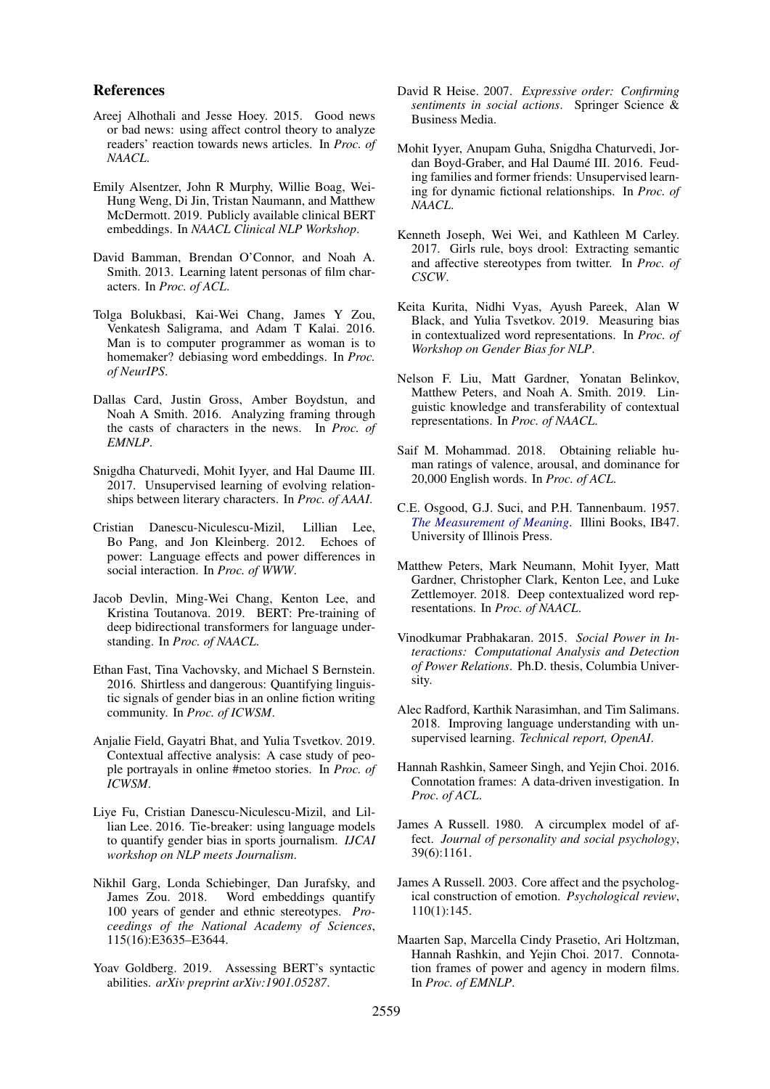### References

- <span id="page-9-15"></span>Areej Alhothali and Jesse Hoey. 2015. Good news or bad news: using affect control theory to analyze readers' reaction towards news articles. In *Proc. of NAACL*.
- <span id="page-9-26"></span>Emily Alsentzer, John R Murphy, Willie Boag, Wei-Hung Weng, Di Jin, Tristan Naumann, and Matthew McDermott. 2019. Publicly available clinical BERT embeddings. In *NAACL Clinical NLP Workshop*.
- <span id="page-9-3"></span>David Bamman, Brendan O'Connor, and Noah A. Smith. 2013. Learning latent personas of film characters. In *Proc. of ACL*.
- <span id="page-9-18"></span>Tolga Bolukbasi, Kai-Wei Chang, James Y Zou, Venkatesh Saligrama, and Adam T Kalai. 2016. Man is to computer programmer as woman is to homemaker? debiasing word embeddings. In *Proc. of NeurIPS*.
- <span id="page-9-4"></span>Dallas Card, Justin Gross, Amber Boydstun, and Noah A Smith. 2016. Analyzing framing through the casts of characters in the news. In *Proc. of EMNLP*.
- <span id="page-9-20"></span>Snigdha Chaturvedi, Mohit Iyyer, and Hal Daume III. 2017. Unsupervised learning of evolving relationships between literary characters. In *Proc. of AAAI*.
- <span id="page-9-22"></span>Cristian Danescu-Niculescu-Mizil, Lillian Lee, Bo Pang, and Jon Kleinberg. 2012. Echoes of power: Language effects and power differences in social interaction. In *Proc. of WWW*.
- <span id="page-9-1"></span>Jacob Devlin, Ming-Wei Chang, Kenton Lee, and Kristina Toutanova. 2019. BERT: Pre-training of deep bidirectional transformers for language understanding. In *Proc. of NAACL*.
- <span id="page-9-6"></span>Ethan Fast, Tina Vachovsky, and Michael S Bernstein. 2016. Shirtless and dangerous: Quantifying linguistic signals of gender bias in an online fiction writing community. In *Proc. of ICWSM*.
- <span id="page-9-7"></span>Anjalie Field, Gayatri Bhat, and Yulia Tsvetkov. 2019. Contextual affective analysis: A case study of people portrayals in online #metoo stories. In *Proc. of ICWSM*.
- <span id="page-9-17"></span>Liye Fu, Cristian Danescu-Niculescu-Mizil, and Lillian Lee. 2016. Tie-breaker: using language models to quantify gender bias in sports journalism. *IJCAI workshop on NLP meets Journalism*.
- <span id="page-9-21"></span>Nikhil Garg, Londa Schiebinger, Dan Jurafsky, and James Zou. 2018. Word embeddings quantify 100 years of gender and ethnic stereotypes. *Proceedings of the National Academy of Sciences*, 115(16):E3635–E3644.
- <span id="page-9-23"></span>Yoav Goldberg. 2019. Assessing BERT's syntactic abilities. *arXiv preprint arXiv:1901.05287*.
- <span id="page-9-14"></span>David R Heise. 2007. *Expressive order: Confirming sentiments in social actions*. Springer Science & Business Media.
- <span id="page-9-19"></span>Mohit Iyyer, Anupam Guha, Snigdha Chaturvedi, Jordan Boyd-Graber, and Hal Daumé III. 2016. Feuding families and former friends: Unsupervised learning for dynamic fictional relationships. In *Proc. of NAACL*.
- <span id="page-9-5"></span>Kenneth Joseph, Wei Wei, and Kathleen M Carley. 2017. Girls rule, boys drool: Extracting semantic and affective stereotypes from twitter. In *Proc. of CSCW*.
- <span id="page-9-25"></span>Keita Kurita, Nidhi Vyas, Ayush Pareek, Alan W Black, and Yulia Tsvetkov. 2019. Measuring bias in contextualized word representations. In *Proc. of Workshop on Gender Bias for NLP*.
- <span id="page-9-24"></span>Nelson F. Liu, Matt Gardner, Yonatan Belinkov, Matthew Peters, and Noah A. Smith. 2019. Linguistic knowledge and transferability of contextual representations. In *Proc. of NAACL*.
- <span id="page-9-16"></span>Saif M. Mohammad. 2018. Obtaining reliable human ratings of valence, arousal, and dominance for 20,000 English words. In *Proc. of ACL*.
- <span id="page-9-8"></span>C.E. Osgood, G.J. Suci, and P.H. Tannenbaum. 1957. *[The Measurement of Meaning](https://books.google.com/books?id=Qj8GeUrKZdAC)*. Illini Books, IB47. University of Illinois Press.
- <span id="page-9-0"></span>Matthew Peters, Mark Neumann, Mohit Iyyer, Matt Gardner, Christopher Clark, Kenton Lee, and Luke Zettlemoyer. 2018. Deep contextualized word representations. In *Proc. of NAACL*.
- <span id="page-9-13"></span>Vinodkumar Prabhakaran. 2015. *Social Power in Interactions: Computational Analysis and Detection of Power Relations*. Ph.D. thesis, Columbia University.
- <span id="page-9-2"></span>Alec Radford, Karthik Narasimhan, and Tim Salimans. 2018. Improving language understanding with unsupervised learning. *Technical report, OpenAI*.
- <span id="page-9-12"></span>Hannah Rashkin, Sameer Singh, and Yejin Choi. 2016. Connotation frames: A data-driven investigation. In *Proc. of ACL*.
- <span id="page-9-9"></span>James A Russell. 1980. A circumplex model of affect. *Journal of personality and social psychology*, 39(6):1161.
- <span id="page-9-10"></span>James A Russell. 2003. Core affect and the psychological construction of emotion. *Psychological review*, 110(1):145.
- <span id="page-9-11"></span>Maarten Sap, Marcella Cindy Prasetio, Ari Holtzman, Hannah Rashkin, and Yejin Choi. 2017. Connotation frames of power and agency in modern films. In *Proc. of EMNLP*.